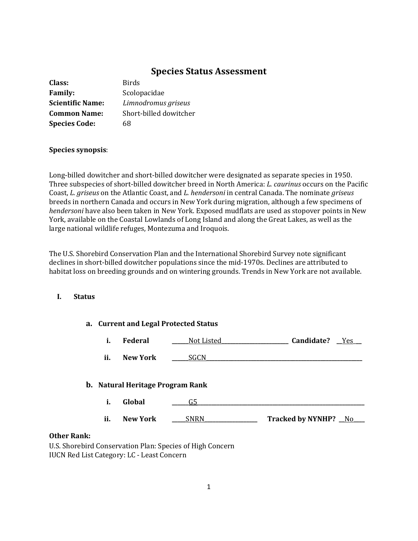# **Species Status Assessment**

| Class:                  | <b>Birds</b>           |
|-------------------------|------------------------|
| <b>Family:</b>          | Scolopacidae           |
| <b>Scientific Name:</b> | Limnodromus griseus    |
| <b>Common Name:</b>     | Short-billed dowitcher |
| <b>Species Code:</b>    | 68                     |

# **Species synopsis**:

Long-billed dowitcher and short-billed dowitcher were designated as separate species in 1950. Three subspecies of short-billed dowitcher breed in North America: *L. caurinus* occurs on the Pacific Coast, *L. griseus* on the Atlantic Coast, and *L. hendersoni* in central Canada. The nominate *griseus* breeds in northern Canada and occurs in New York during migration, although a few specimens of *hendersoni* have also been taken in New York. Exposed mudflats are used as stopover points in New York, available on the Coastal Lowlands of Long Island and along the Great Lakes, as well as the large national wildlife refuges, Montezuma and Iroquois.

The U.S. Shorebird Conservation Plan and the International Shorebird Survey note significant declines in short-billed dowitcher populations since the mid-1970s. Declines are attributed to habitat loss on breeding grounds and on wintering grounds. Trends in New York are not available.

## **I. Status**

|                    | a. Current and Legal Protected Status   |                                                           |                      |
|--------------------|-----------------------------------------|-----------------------------------------------------------|----------------------|
|                    | Federal<br>i.                           | Not Listed_                                               | Candidate?<br>Yes    |
| ii.                | <b>New York</b>                         | SGCN.                                                     |                      |
|                    | <b>b.</b> Natural Heritage Program Rank |                                                           |                      |
|                    | i.<br>Global                            | G5                                                        |                      |
| ii.                | <b>New York</b>                         | <b>SNRN</b>                                               | Tracked by NYNHP? No |
| <b>Other Rank:</b> |                                         |                                                           |                      |
|                    |                                         | U.S. Shorebird Conservation Plan: Species of High Concern |                      |

IUCN Red List Category: LC - Least Concern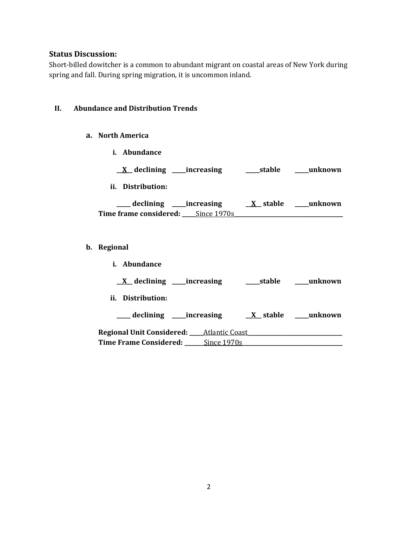# **Status Discussion:**

Short-billed dowitcher is a common to abundant migrant on coastal areas of New York during spring and fall. During spring migration, it is uncommon inland.

# **II. Abundance and Distribution Trends**

## **a. North America**

**i. Abundance**

| $\underline{X}$ declining _____increasing | stable          | unknown |
|-------------------------------------------|-----------------|---------|
| ii. Distribution:                         |                 |         |
| declining _____increasing                 | <u>X</u> stable | unknown |
|                                           |                 |         |
| <b>Time frame considered:</b> Since 1970s |                 |         |

# **b. Regional**

| <i>i.</i> Abundance                                   |             |        |                  |
|-------------------------------------------------------|-------------|--------|------------------|
| $X$ declining ______ increasing                       |             | stable | unknown          |
| ii. Distribution:                                     |             |        |                  |
| ____ declining _____increasing                        |             |        | X stable unknown |
| <b>Regional Unit Considered: ____ Atlantic Coast_</b> |             |        |                  |
| <b>Time Frame Considered:</b>                         | Since 1970s |        |                  |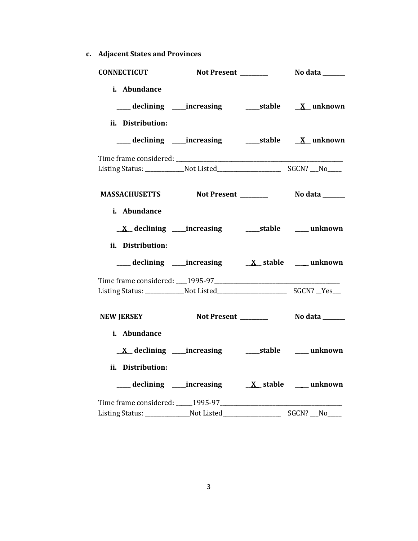**c. Adjacent States and Provinces**

| <b>CONNECTICUT</b>                                                                            |                          |          |
|-----------------------------------------------------------------------------------------------|--------------------------|----------|
| i. Abundance<br>___ declining ____increasing ______stable ___ X__unknown<br>ii. Distribution: |                          |          |
| ___ declining ____increasing ______stable ___ X__unknown                                      |                          |          |
|                                                                                               |                          |          |
| MASSACHUSETTS Not Present _________ No data ______                                            |                          |          |
| i. Abundance<br>ii. Distribution:                                                             |                          |          |
|                                                                                               |                          |          |
|                                                                                               |                          |          |
| <b>NEW JERSEY</b>                                                                             |                          |          |
| i. Abundance<br>ii. Distribution:                                                             |                          |          |
|                                                                                               |                          |          |
| Time frame considered: 1995-97                                                                | $\overline{\phantom{a}}$ | SGCN? No |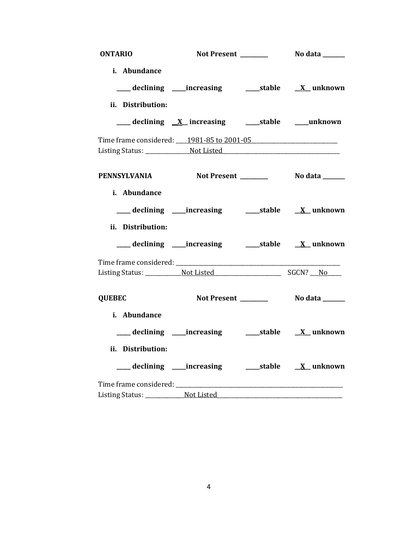| <b>ONTARIO</b>    |                                                          |  |
|-------------------|----------------------------------------------------------|--|
| i. Abundance      |                                                          |  |
|                   | ___ declining ____increasing ______stable ___ X__unknown |  |
| ii. Distribution: |                                                          |  |
|                   | ___ declining X increasing ____ stable ____ unknown      |  |
|                   | Time frame considered: 1981-85 to 2001-05                |  |
|                   |                                                          |  |
|                   | PENNSYLVANIA Not Present ________ No data _____          |  |
| i. Abundance      |                                                          |  |
|                   |                                                          |  |
| ii. Distribution: |                                                          |  |
|                   | ___ declining ____increasing ______stable ___ X__unknown |  |
|                   |                                                          |  |
|                   |                                                          |  |
| <b>QUEBEC</b>     |                                                          |  |
| i. Abundance      |                                                          |  |
|                   |                                                          |  |
| ii. Distribution: |                                                          |  |
|                   | ___ declining ____increasing ______stable ___ X__unknown |  |
|                   |                                                          |  |
|                   |                                                          |  |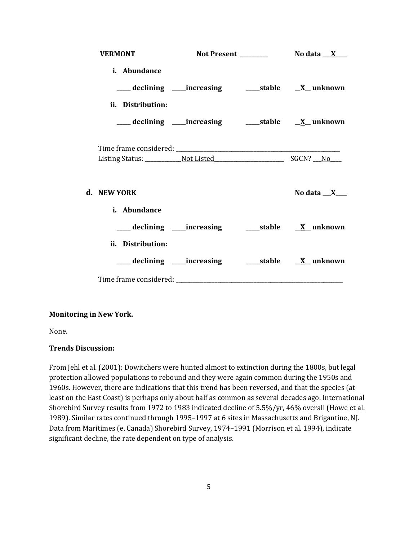| <b>VERMONT</b>                                                           |  |                                                          |
|--------------------------------------------------------------------------|--|----------------------------------------------------------|
| i. Abundance                                                             |  |                                                          |
| ____ declining ____increasing ___________stable ____ <u>X</u> __ unknown |  |                                                          |
| ii. Distribution:                                                        |  |                                                          |
| ___declining ___increasing ____stable <u>X</u> _unknown                  |  |                                                          |
|                                                                          |  |                                                          |
|                                                                          |  |                                                          |
| d. NEW YORK                                                              |  | No data $X_{-}$                                          |
| i. Abundance                                                             |  |                                                          |
|                                                                          |  |                                                          |
| ii. Distribution:                                                        |  |                                                          |
|                                                                          |  | ___declining ___increasing _____stable <u>X</u> _unknown |
|                                                                          |  |                                                          |

## **Monitoring in New York.**

None.

#### **Trends Discussion:**

From Jehl et al. (2001): Dowitchers were hunted almost to extinction during the 1800s, but legal protection allowed populations to rebound and they were again common during the 1950s and 1960s. However, there are indications that this trend has been reversed, and that the species (at least on the East Coast) is perhaps only about half as common as several decades ago. International Shorebird Survey results from 1972 to 1983 indicated decline of 5.5%/yr, 46% overall (Howe et al. 1989). Similar rates continued through 1995–1997 at 6 sites in Massachusetts and Brigantine, NJ. Data from Maritimes (e. Canada) Shorebird Survey, 1974–1991 (Morrison et al. 1994), indicate significant decline, the rate dependent on type of analysis.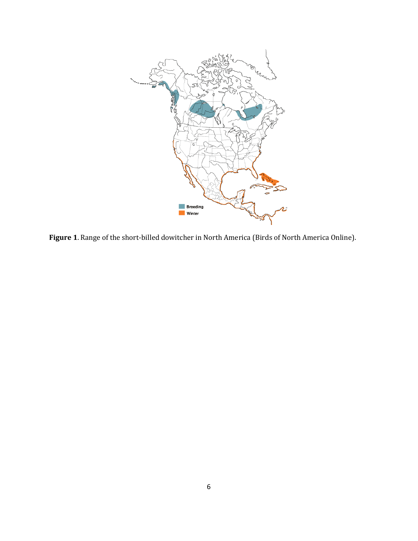

**Figure 1**. Range of the short-billed dowitcher in North America (Birds of North America Online).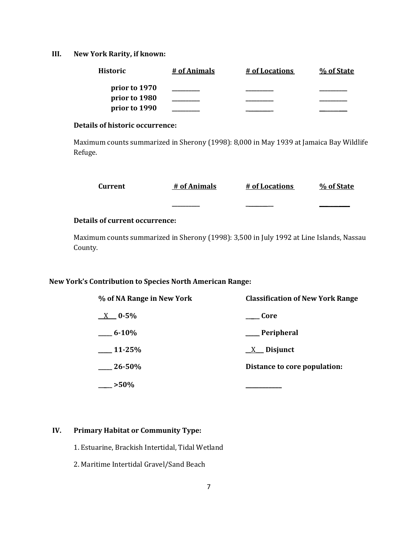**III. New York Rarity, if known:**

| <b>Historic</b> | # of Animals | # of Locations | % of State |
|-----------------|--------------|----------------|------------|
| prior to 1970   |              |                |            |
| prior to 1980   |              |                |            |
| prior to 1990   |              |                |            |

## **Details of historic occurrence:**

Maximum counts summarized in Sherony (1998): 8,000 in May 1939 at Jamaica Bay Wildlife Refuge.

| Current | # of Animals | # of Locations | % of State |
|---------|--------------|----------------|------------|
|         | __________   |                |            |

## **Details of current occurrence:**

Maximum counts summarized in Sherony (1998): 3,500 in July 1992 at Line Islands, Nassau County.

# **New York's Contribution to Species North American Range:**

| % of NA Range in New York | <b>Classification of New York Range</b> |
|---------------------------|-----------------------------------------|
| $X = 0.5\%$               | – Core                                  |
| $6 - 10\%$                | Peripheral                              |
| $11 - 25%$                | $X$ Disjunct                            |
| $26 - 50\%$               | Distance to core population:            |
| $>50\%$                   |                                         |

# **IV. Primary Habitat or Community Type:**

- 1. Estuarine, Brackish Intertidal, Tidal Wetland
- 2. Maritime Intertidal Gravel/Sand Beach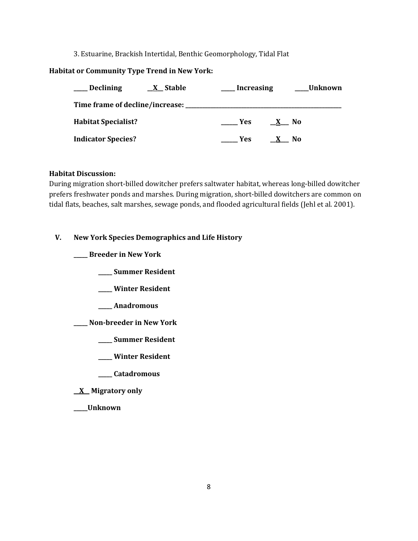### 3. Estuarine, Brackish Intertidal, Benthic Geomorphology, Tidal Flat

## **Habitat or Community Type Trend in New York:**

| <b>Declining</b><br><b>X</b> Stable | <b>Increasing</b> | Unknown |
|-------------------------------------|-------------------|---------|
| Time frame of decline/increase:     |                   |         |
| <b>Habitat Specialist?</b>          | Yes:              | - No    |
| <b>Indicator Species?</b>           | Yes:              | No.     |

#### **Habitat Discussion:**

During migration short-billed dowitcher prefers saltwater habitat, whereas long-billed dowitcher prefers freshwater ponds and marshes. During migration, short-billed dowitchers are common on tidal flats, beaches, salt marshes, sewage ponds, and flooded agricultural fields (Jehl et al. 2001).

### **V. New York Species Demographics and Life History**

**\_\_\_\_\_ Breeder in New York**

- **\_\_\_\_\_ Summer Resident**
- **\_\_\_\_\_ Winter Resident**
- **\_\_\_\_\_ Anadromous**
- **\_\_\_\_\_ Non-breeder in New York**
	- **\_\_\_\_\_ Summer Resident**
	- **\_\_\_\_\_ Winter Resident**
	- **\_\_\_\_\_ Catadromous**
- **\_\_X\_\_ Migratory only**
- **\_\_\_\_\_Unknown**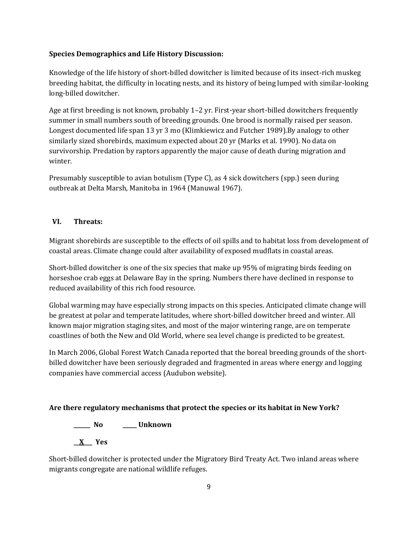# **Species Demographics and Life History Discussion:**

Knowledge of the life history of short-billed dowitcher is limited because of its insect-rich muskeg breeding habitat, the difficulty in locating nests, and its history of being lumped with similar-looking long-billed dowitcher.

Age at first breeding is not known, probably 1–2 yr. First-year short-billed dowitchers frequently summer in small numbers south of breeding grounds. One brood is normally raised per season. Longest documented life span 13 yr 3 mo (Klimkiewicz and Futcher 1989).By analogy to other similarly sized shorebirds, maximum expected about 20 yr (Marks et al. 1990). No data on survivorship. Predation by raptors apparently the major cause of death during migration and winter.

Presumably susceptible to avian botulism (Type C), as 4 sick dowitchers (spp.) seen during outbreak at Delta Marsh, Manitoba in 1964 (Manuwal 1967).

# **VI. Threats:**

Migrant shorebirds are susceptible to the effects of oil spills and to habitat loss from development of coastal areas. Climate change could alter availability of exposed mudflats in coastal areas.

Short-billed dowitcher is one of the six species that make up 95% of migrating birds feeding on horseshoe crab eggs at Delaware Bay in the spring. Numbers there have declined in response to reduced availability of this rich food resource.

Global warming may have especially strong impacts on this species. Anticipated climate change will be greatest at polar and temperate latitudes, where short-billed dowitcher breed and winter. All known major migration staging sites, and most of the major wintering range, are on temperate coastlines of both the New and Old World, where sea level change is predicted to be greatest.

In March 2006, Global Forest Watch Canada reported that the boreal breeding grounds of the shortbilled dowitcher have been seriously degraded and fragmented in areas where energy and logging companies have commercial access (Audubon website).

# **Are there regulatory mechanisms that protect the species or its habitat in New York?**

**\_\_\_\_\_\_ No \_\_\_\_\_ Unknown**

**\_\_X\_\_\_ Yes** 

Short-billed dowitcher is protected under the Migratory Bird Treaty Act. Two inland areas where migrants congregate are national wildlife refuges.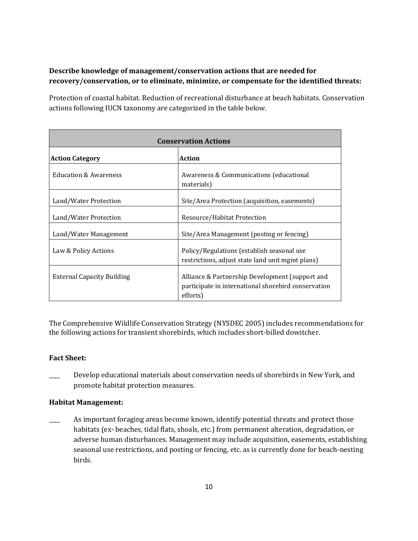# **Describe knowledge of management/conservation actions that are needed for recovery/conservation, or to eliminate, minimize, or compensate for the identified threats:**

Protection of coastal habitat. Reduction of recreational disturbance at beach habitats. Conservation actions following IUCN taxonomy are categorized in the table below.

| <b>Conservation Actions</b>       |                                                                                                                    |  |
|-----------------------------------|--------------------------------------------------------------------------------------------------------------------|--|
| <b>Action Category</b>            | <b>Action</b>                                                                                                      |  |
| <b>Education &amp; Awareness</b>  | Awareness & Communications (educational<br>materials)                                                              |  |
| Land/Water Protection             | Site/Area Protection (acquisition, easements)                                                                      |  |
| Land/Water Protection             | Resource/Habitat Protection                                                                                        |  |
| Land/Water Management             | Site/Area Management (posting or fencing)                                                                          |  |
| Law & Policy Actions              | Policy/Regulations (establish seasonal use<br>restrictions, adjust state land unit mgmt plans)                     |  |
| <b>External Capacity Building</b> | Alliance & Partnership Development (support and<br>participate in international shorebird conservation<br>efforts) |  |

The Comprehensive Wildlife Conservation Strategy (NYSDEC 2005) includes recommendations for the following actions for transient shorebirds, which includes short-billed dowitcher.

## **Fact Sheet:**

Develop educational materials about conservation needs of shorebirds in New York, and promote habitat protection measures.

## **Habitat Management:**

As important foraging areas become known, identify potential threats and protect those habitats (ex- beaches, tidal flats, shoals, etc.) from permanent alteration, degradation, or adverse human disturbances. Management may include acquisition, easements, establishing seasonal use restrictions, and posting or fencing, etc. as is currently done for beach-nesting birds.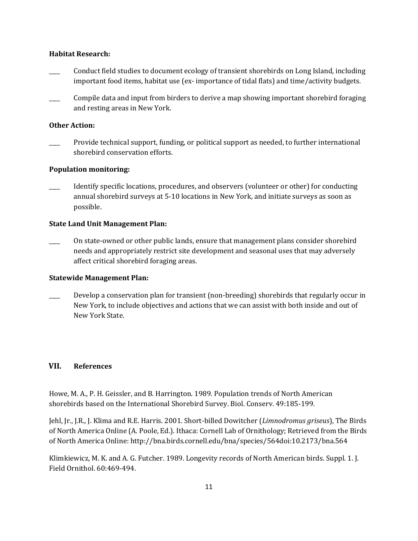#### **Habitat Research:**

- \_\_\_\_ Conduct field studies to document ecology of transient shorebirds on Long Island, including important food items, habitat use (ex- importance of tidal flats) and time/activity budgets.
- Compile data and input from birders to derive a map showing important shorebird foraging and resting areas in New York.

### **Other Action:**

Provide technical support, funding, or political support as needed, to further international shorebird conservation efforts.

#### **Population monitoring:**

Identify specific locations, procedures, and observers (volunteer or other) for conducting annual shorebird surveys at 5-10 locations in New York, and initiate surveys as soon as possible.

#### **State Land Unit Management Plan:**

\_\_\_\_ On state-owned or other public lands, ensure that management plans consider shorebird needs and appropriately restrict site development and seasonal uses that may adversely affect critical shorebird foraging areas.

#### **Statewide Management Plan:**

Develop a conservation plan for transient (non-breeding) shorebirds that regularly occur in New York, to include objectives and actions that we can assist with both inside and out of New York State.

#### **VII. References**

Howe, M. A., P. H. Geissler, and B. Harrington. 1989. Population trends of North American shorebirds based on the International Shorebird Survey. Biol. Conserv. 49:185-199.

Jehl, Jr., J.R., J. Klima and R.E. Harris. 2001. Short-billed Dowitcher (*Limnodromus griseus*), The Birds of North America Online (A. Poole, Ed.). Ithaca: Cornell Lab of Ornithology; Retrieved from the Birds of North America Online: [http://bna.birds.cornell.edu/bna/species/564doi:10.2173/bna.564](http://bna.birds.cornell.edu/bna/species/564)

Klimkiewicz, M. K. and A. G. Futcher. 1989. Longevity records of North American birds. Suppl. 1. J. Field Ornithol. 60:469-494.